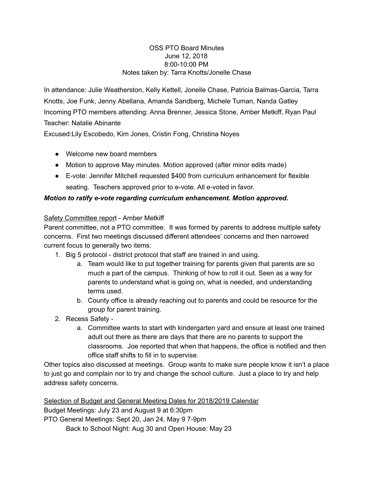#### OSS PTO Board Minutes June 12, 2018 8:00-10:00 PM Notes taken by: Tarra Knotts/Jonelle Chase

In attendance: Julie Weatherston, Kelly Kettell, Jonelle Chase, Patricia Balmas-Garcia, Tarra Knotts, Joe Funk, Jenny Abellana, Amanda Sandberg, Michele Tuman, Nanda Gatley Incoming PTO members attending: Anna Brenner, Jessica Stone, Amber Metkiff, Ryan Paul Teacher: Natalie Abinante

Excused:Lily Escobedo, Kim Jones, Cristin Fong, Christina Noyes

- Welcome new board members
- Motion to approve May minutes. Motion approved (after minor edits made)
- Evote: Jennifer Mitchell requested \$400 from curriculum enhancement for flexible seating. Teachers approved prior to e-vote. All e-voted in favor.

# *Motion to ratify evote regarding curriculum enhancement. Motion approved.*

## Safety Committee report - Amber Metkiff

Parent committee, not a PTO committee. It was formed by parents to address multiple safety concerns. First two meetings discussed different attendees' concerns and then narrowed current focus to generally two items:

- 1. Big 5 protocol district protocol that staff are trained in and using.
	- a. Team would like to put together training for parents given that parents are so much a part of the campus. Thinking of how to roll it out. Seen as a way for parents to understand what is going on, what is needed, and understanding terms used.
	- b. County office is already reaching out to parents and could be resource for the group for parent training.
- 2. Recess Safety
	- a. Committee wants to start with kindergarten yard and ensure at least one trained adult out there as there are days that there are no parents to support the classrooms. Joe reported that when that happens, the office is notified and then office staff shifts to fill in to supervise.

Other topics also discussed at meetings. Group wants to make sure people know it isn't a place to just go and complain nor to try and change the school culture. Just a place to try and help address safety concerns.

Selection of Budget and General Meeting Dates for 2018/2019 Calendar Budget Meetings: July 23 and August 9 at 6:30pm PTO General Meetings: Sept 20, Jan 24, May 9 7-9pm Back to School Night: Aug 30 and Open House: May 23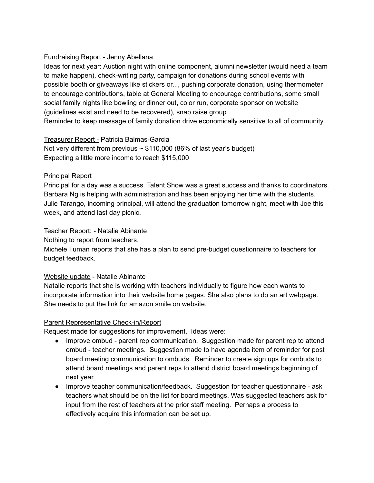## Fundraising Report - Jenny Abellana

Ideas for next year: Auction night with online component, alumni newsletter (would need a team to make happen), check-writing party, campaign for donations during school events with possible booth or giveaways like stickers or..., pushing corporate donation, using thermometer to encourage contributions, table at General Meeting to encourage contributions, some small social family nights like bowling or dinner out, color run, corporate sponsor on website (guidelines exist and need to be recovered), snap raise group Reminder to keep message of family donation drive economically sensitive to all of community

#### Treasurer Report - Patricia Balmas-Garcia

Not very different from previous  $\sim$  \$110,000 (86% of last year's budget) Expecting a little more income to reach \$115,000

#### Principal Report

Principal for a day was a success. Talent Show was a great success and thanks to coordinators. Barbara Ng is helping with administration and has been enjoying her time with the students. Julie Tarango, incoming principal, will attend the graduation tomorrow night, meet with Joe this week, and attend last day picnic.

## Teacher Report: - Natalie Abinante

Nothing to report from teachers.

Michele Tuman reports that she has a plan to send pre-budget questionnaire to teachers for budget feedback.

#### Website update - Natalie Abinante

Natalie reports that she is working with teachers individually to figure how each wants to incorporate information into their website home pages. She also plans to do an art webpage. She needs to put the link for amazon smile on website.

#### Parent Representative Check-in/Report

Request made for suggestions for improvement. Ideas were:

- Improve ombud parent rep communication. Suggestion made for parent rep to attend ombud - teacher meetings. Suggestion made to have agenda item of reminder for post board meeting communication to ombuds. Reminder to create sign ups for ombuds to attend board meetings and parent reps to attend district board meetings beginning of next year.
- Improve teacher communication/feedback. Suggestion for teacher questionnaire ask teachers what should be on the list for board meetings. Was suggested teachers ask for input from the rest of teachers at the prior staff meeting. Perhaps a process to effectively acquire this information can be set up.